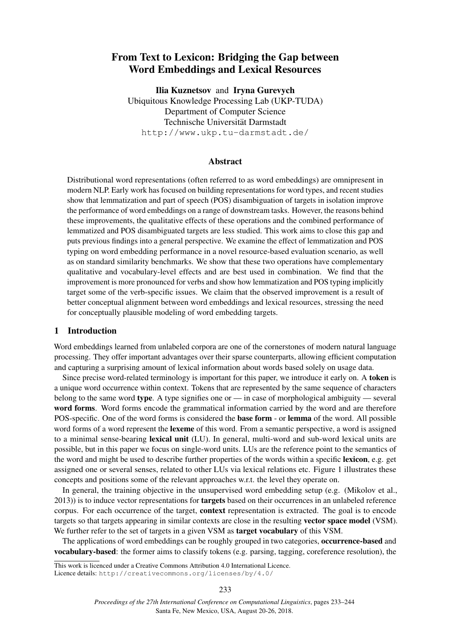# From Text to Lexicon: Bridging the Gap between Word Embeddings and Lexical Resources

Ilia Kuznetsov and Iryna Gurevych Ubiquitous Knowledge Processing Lab (UKP-TUDA) Department of Computer Science Technische Universität Darmstadt http://www.ukp.tu-darmstadt.de/

## Abstract

Distributional word representations (often referred to as word embeddings) are omnipresent in modern NLP. Early work has focused on building representations for word types, and recent studies show that lemmatization and part of speech (POS) disambiguation of targets in isolation improve the performance of word embeddings on a range of downstream tasks. However, the reasons behind these improvements, the qualitative effects of these operations and the combined performance of lemmatized and POS disambiguated targets are less studied. This work aims to close this gap and puts previous findings into a general perspective. We examine the effect of lemmatization and POS typing on word embedding performance in a novel resource-based evaluation scenario, as well as on standard similarity benchmarks. We show that these two operations have complementary qualitative and vocabulary-level effects and are best used in combination. We find that the improvement is more pronounced for verbs and show how lemmatization and POS typing implicitly target some of the verb-specific issues. We claim that the observed improvement is a result of better conceptual alignment between word embeddings and lexical resources, stressing the need for conceptually plausible modeling of word embedding targets.

## 1 Introduction

Word embeddings learned from unlabeled corpora are one of the cornerstones of modern natural language processing. They offer important advantages over their sparse counterparts, allowing efficient computation and capturing a surprising amount of lexical information about words based solely on usage data.

Since precise word-related terminology is important for this paper, we introduce it early on. A token is a unique word occurrence within context. Tokens that are represented by the same sequence of characters belong to the same word type. A type signifies one or — in case of morphological ambiguity — several word forms. Word forms encode the grammatical information carried by the word and are therefore POS-specific. One of the word forms is considered the base form - or lemma of the word. All possible word forms of a word represent the lexeme of this word. From a semantic perspective, a word is assigned to a minimal sense-bearing lexical unit (LU). In general, multi-word and sub-word lexical units are possible, but in this paper we focus on single-word units. LUs are the reference point to the semantics of the word and might be used to describe further properties of the words within a specific lexicon, e.g. get assigned one or several senses, related to other LUs via lexical relations etc. Figure 1 illustrates these concepts and positions some of the relevant approaches w.r.t. the level they operate on.

In general, the training objective in the unsupervised word embedding setup (e.g. (Mikolov et al., 2013)) is to induce vector representations for targets based on their occurrences in an unlabeled reference corpus. For each occurrence of the target, context representation is extracted. The goal is to encode targets so that targets appearing in similar contexts are close in the resulting vector space model (VSM). We further refer to the set of targets in a given VSM as **target vocabulary** of this VSM.

The applications of word embeddings can be roughly grouped in two categories, **occurrence-based** and vocabulary-based: the former aims to classify tokens (e.g. parsing, tagging, coreference resolution), the

This work is licenced under a Creative Commons Attribution 4.0 International Licence.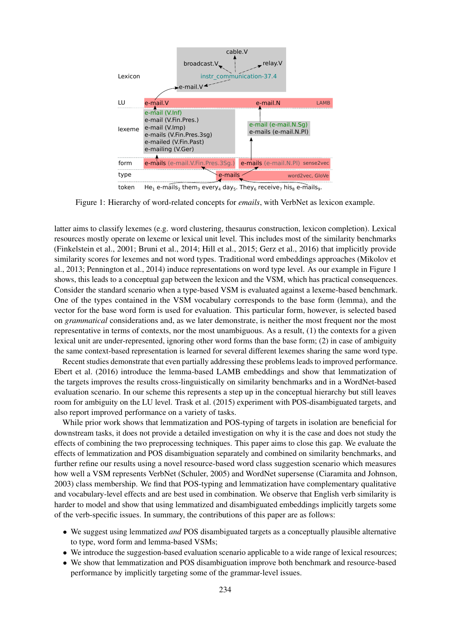

token He<sub>1</sub> e-mails<sub>2</sub> them<sub>3</sub> every<sub>4</sub> day<sub>5</sub>. They<sub>6</sub> receive<sub>7</sub> his<sub>8</sub> e-mails<sub>9</sub>.

Figure 1: Hierarchy of word-related concepts for *emails*, with VerbNet as lexicon example.

latter aims to classify lexemes (e.g. word clustering, thesaurus construction, lexicon completion). Lexical resources mostly operate on lexeme or lexical unit level. This includes most of the similarity benchmarks (Finkelstein et al., 2001; Bruni et al., 2014; Hill et al., 2015; Gerz et al., 2016) that implicitly provide similarity scores for lexemes and not word types. Traditional word embeddings approaches (Mikolov et al., 2013; Pennington et al., 2014) induce representations on word type level. As our example in Figure 1 shows, this leads to a conceptual gap between the lexicon and the VSM, which has practical consequences. Consider the standard scenario when a type-based VSM is evaluated against a lexeme-based benchmark. One of the types contained in the VSM vocabulary corresponds to the base form (lemma), and the vector for the base word form is used for evaluation. This particular form, however, is selected based on *grammatical* considerations and, as we later demonstrate, is neither the most frequent nor the most representative in terms of contexts, nor the most unambiguous. As a result, (1) the contexts for a given lexical unit are under-represented, ignoring other word forms than the base form; (2) in case of ambiguity the same context-based representation is learned for several different lexemes sharing the same word type.

Recent studies demonstrate that even partially addressing these problems leads to improved performance. Ebert et al. (2016) introduce the lemma-based LAMB embeddings and show that lemmatization of the targets improves the results cross-linguistically on similarity benchmarks and in a WordNet-based evaluation scenario. In our scheme this represents a step up in the conceptual hierarchy but still leaves room for ambiguity on the LU level. Trask et al. (2015) experiment with POS-disambiguated targets, and also report improved performance on a variety of tasks.

While prior work shows that lemmatization and POS-typing of targets in isolation are beneficial for downstream tasks, it does not provide a detailed investigation on why it is the case and does not study the effects of combining the two preprocessing techniques. This paper aims to close this gap. We evaluate the effects of lemmatization and POS disambiguation separately and combined on similarity benchmarks, and further refine our results using a novel resource-based word class suggestion scenario which measures how well a VSM represents VerbNet (Schuler, 2005) and WordNet supersense (Ciaramita and Johnson, 2003) class membership. We find that POS-typing and lemmatization have complementary qualitative and vocabulary-level effects and are best used in combination. We observe that English verb similarity is harder to model and show that using lemmatized and disambiguated embeddings implicitly targets some of the verb-specific issues. In summary, the contributions of this paper are as follows:

- We suggest using lemmatized *and* POS disambiguated targets as a conceptually plausible alternative to type, word form and lemma-based VSMs;
- We introduce the suggestion-based evaluation scenario applicable to a wide range of lexical resources;
- We show that lemmatization and POS disambiguation improve both benchmark and resource-based performance by implicitly targeting some of the grammar-level issues.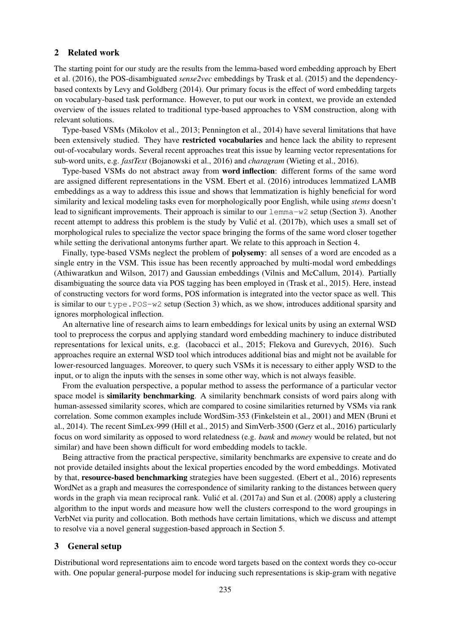#### 2 Related work

The starting point for our study are the results from the lemma-based word embedding approach by Ebert et al. (2016), the POS-disambiguated *sense2vec* embeddings by Trask et al. (2015) and the dependencybased contexts by Levy and Goldberg (2014). Our primary focus is the effect of word embedding targets on vocabulary-based task performance. However, to put our work in context, we provide an extended overview of the issues related to traditional type-based approaches to VSM construction, along with relevant solutions.

Type-based VSMs (Mikolov et al., 2013; Pennington et al., 2014) have several limitations that have been extensively studied. They have **restricted vocabularies** and hence lack the ability to represent out-of-vocabulary words. Several recent approaches treat this issue by learning vector representations for sub-word units, e.g. *fastText* (Bojanowski et al., 2016) and *charagram* (Wieting et al., 2016).

Type-based VSMs do not abstract away from word inflection: different forms of the same word are assigned different representations in the VSM. Ebert et al. (2016) introduces lemmatized LAMB embeddings as a way to address this issue and shows that lemmatization is highly beneficial for word similarity and lexical modeling tasks even for morphologically poor English, while using *stems* doesn't lead to significant improvements. Their approach is similar to our lemma-w2 setup (Section 3). Another recent attempt to address this problem is the study by Vulić et al. (2017b), which uses a small set of morphological rules to specialize the vector space bringing the forms of the same word closer together while setting the derivational antonyms further apart. We relate to this approach in Section 4.

Finally, type-based VSMs neglect the problem of polysemy: all senses of a word are encoded as a single entry in the VSM. This issue has been recently approached by multi-modal word embeddings (Athiwaratkun and Wilson, 2017) and Gaussian embeddings (Vilnis and McCallum, 2014). Partially disambiguating the source data via POS tagging has been employed in (Trask et al., 2015). Here, instead of constructing vectors for word forms, POS information is integrated into the vector space as well. This is similar to our  $type.POS-w2$  setup (Section 3) which, as we show, introduces additional sparsity and ignores morphological inflection.

An alternative line of research aims to learn embeddings for lexical units by using an external WSD tool to preprocess the corpus and applying standard word embedding machinery to induce distributed representations for lexical units, e.g. (Iacobacci et al., 2015; Flekova and Gurevych, 2016). Such approaches require an external WSD tool which introduces additional bias and might not be available for lower-resourced languages. Moreover, to query such VSMs it is necessary to either apply WSD to the input, or to align the inputs with the senses in some other way, which is not always feasible.

From the evaluation perspective, a popular method to assess the performance of a particular vector space model is **similarity benchmarking**. A similarity benchmark consists of word pairs along with human-assessed similarity scores, which are compared to cosine similarities returned by VSMs via rank correlation. Some common examples include WordSim-353 (Finkelstein et al., 2001) and MEN (Bruni et al., 2014). The recent SimLex-999 (Hill et al., 2015) and SimVerb-3500 (Gerz et al., 2016) particularly focus on word similarity as opposed to word relatedness (e.g. *bank* and *money* would be related, but not similar) and have been shown difficult for word embedding models to tackle.

Being attractive from the practical perspective, similarity benchmarks are expensive to create and do not provide detailed insights about the lexical properties encoded by the word embeddings. Motivated by that, resource-based benchmarking strategies have been suggested. (Ebert et al., 2016) represents WordNet as a graph and measures the correspondence of similarity ranking to the distances between query words in the graph via mean reciprocal rank. Vulić et al. (2017a) and Sun et al. (2008) apply a clustering algorithm to the input words and measure how well the clusters correspond to the word groupings in VerbNet via purity and collocation. Both methods have certain limitations, which we discuss and attempt to resolve via a novel general suggestion-based approach in Section 5.

## 3 General setup

Distributional word representations aim to encode word targets based on the context words they co-occur with. One popular general-purpose model for inducing such representations is skip-gram with negative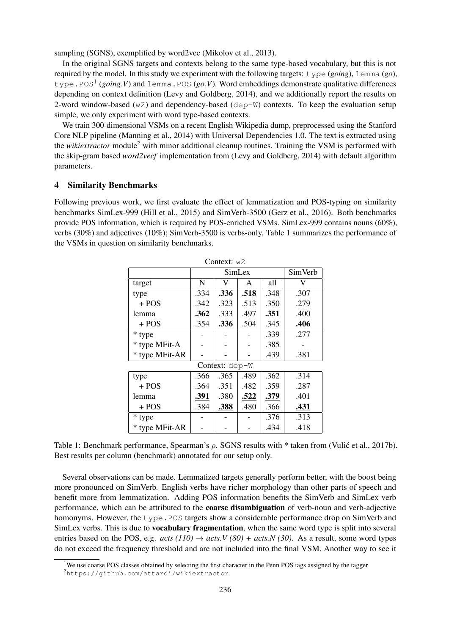sampling (SGNS), exemplified by word2vec (Mikolov et al., 2013).

In the original SGNS targets and contexts belong to the same type-based vocabulary, but this is not required by the model. In this study we experiment with the following targets: type (*going*), lemma (*go*), type.POS<sup>1</sup> (*going.V*) and lemma.POS (*go.V*). Word embeddings demonstrate qualitative differences depending on context definition (Levy and Goldberg, 2014), and we additionally report the results on 2-word window-based ( $w2$ ) and dependency-based ( $dep-W$ ) contexts. To keep the evaluation setup simple, we only experiment with word type-based contexts.

We train 300-dimensional VSMs on a recent English Wikipedia dump, preprocessed using the Stanford Core NLP pipeline (Manning et al., 2014) with Universal Dependencies 1.0. The text is extracted using the *wikiextractor* module<sup>2</sup> with minor additional cleanup routines. Training the VSM is performed with the skip-gram based *word2vecf* implementation from (Levy and Goldberg, 2014) with default algorithm parameters.

## 4 Similarity Benchmarks

Following previous work, we first evaluate the effect of lemmatization and POS-typing on similarity benchmarks SimLex-999 (Hill et al., 2015) and SimVerb-3500 (Gerz et al., 2016). Both benchmarks provide POS information, which is required by POS-enriched VSMs. SimLex-999 contains nouns (60%), verbs (30%) and adjectives (10%); SimVerb-3500 is verbs-only. Table 1 summarizes the performance of the VSMs in question on similarity benchmarks.

| Context: $w2$  |      |                |      |      |      |  |  |  |
|----------------|------|----------------|------|------|------|--|--|--|
|                |      | <b>SimVerb</b> |      |      |      |  |  |  |
| target         | N    | V              |      |      |      |  |  |  |
| type           | .334 | .336           | .518 | .348 | .307 |  |  |  |
| $+$ POS        | .342 | .323           | .513 | .350 | .279 |  |  |  |
| lemma          | .362 | .333           | .497 | .351 | .400 |  |  |  |
| $+ POS$        | .354 | .336<br>.504   |      | .345 | .406 |  |  |  |
| * type         |      |                |      | .339 | .277 |  |  |  |
| * type MFit-A  |      |                |      | .385 |      |  |  |  |
| * type MFit-AR |      |                |      | .439 | .381 |  |  |  |
| Context: dep-W |      |                |      |      |      |  |  |  |
| type           | .366 | .365           | .489 | .362 | .314 |  |  |  |
| $+$ POS        | .364 | .351           | .482 | .359 | .287 |  |  |  |
| lemma          | .391 | .380           | .522 | .379 | .401 |  |  |  |
| + POS          | .384 | .388           | .480 | .366 | .431 |  |  |  |
| * type         |      |                |      | .376 | .313 |  |  |  |
| * type MFit-AR |      |                |      | .434 | .418 |  |  |  |

Table 1: Benchmark performance, Spearman's  $\rho$ . SGNS results with  $*$  taken from (Vulić et al., 2017b). Best results per column (benchmark) annotated for our setup only.

Several observations can be made. Lemmatized targets generally perform better, with the boost being more pronounced on SimVerb. English verbs have richer morphology than other parts of speech and benefit more from lemmatization. Adding POS information benefits the SimVerb and SimLex verb performance, which can be attributed to the coarse disambiguation of verb-noun and verb-adjective homonyms. However, the type. POS targets show a considerable performance drop on SimVerb and SimLex verbs. This is due to vocabulary fragmentation, when the same word type is split into several entries based on the POS, e.g.  $acts (110) \rightarrow acts. V (80) + acts. N (30)$ . As a result, some word types do not exceed the frequency threshold and are not included into the final VSM. Another way to see it

<sup>&</sup>lt;sup>1</sup>We use coarse POS classes obtained by selecting the first character in the Penn POS tags assigned by the tagger

<sup>2</sup>https://github.com/attardi/wikiextractor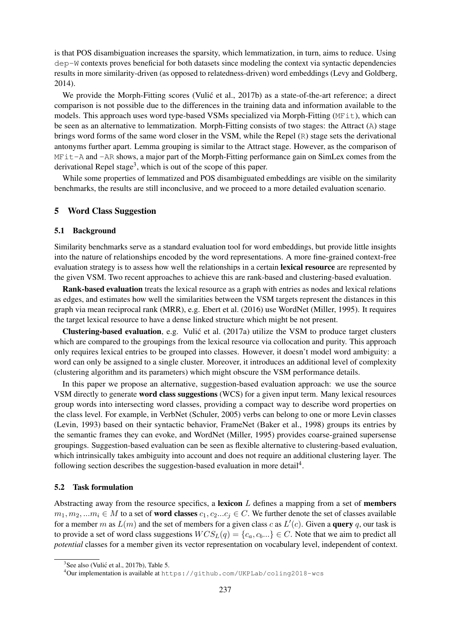is that POS disambiguation increases the sparsity, which lemmatization, in turn, aims to reduce. Using dep-W contexts proves beneficial for both datasets since modeling the context via syntactic dependencies results in more similarity-driven (as opposed to relatedness-driven) word embeddings (Levy and Goldberg, 2014).

We provide the Morph-Fitting scores (Vulić et al., 2017b) as a state-of-the-art reference; a direct comparison is not possible due to the differences in the training data and information available to the models. This approach uses word type-based VSMs specialized via Morph-Fitting (MFit), which can be seen as an alternative to lemmatization. Morph-Fitting consists of two stages: the Attract (A) stage brings word forms of the same word closer in the VSM, while the Repel  $(R)$  stage sets the derivational antonyms further apart. Lemma grouping is similar to the Attract stage. However, as the comparison of MFit-A and -AR shows, a major part of the Morph-Fitting performance gain on SimLex comes from the derivational Repel stage<sup>3</sup>, which is out of the scope of this paper.

While some properties of lemmatized and POS disambiguated embeddings are visible on the similarity benchmarks, the results are still inconclusive, and we proceed to a more detailed evaluation scenario.

#### 5 Word Class Suggestion

#### 5.1 Background

Similarity benchmarks serve as a standard evaluation tool for word embeddings, but provide little insights into the nature of relationships encoded by the word representations. A more fine-grained context-free evaluation strategy is to assess how well the relationships in a certain **lexical resource** are represented by the given VSM. Two recent approaches to achieve this are rank-based and clustering-based evaluation.

Rank-based evaluation treats the lexical resource as a graph with entries as nodes and lexical relations as edges, and estimates how well the similarities between the VSM targets represent the distances in this graph via mean reciprocal rank (MRR), e.g. Ebert et al. (2016) use WordNet (Miller, 1995). It requires the target lexical resource to have a dense linked structure which might be not present.

Clustering-based evaluation, e.g. Vulic et al. (2017a) utilize the VSM to produce target clusters ´ which are compared to the groupings from the lexical resource via collocation and purity. This approach only requires lexical entries to be grouped into classes. However, it doesn't model word ambiguity: a word can only be assigned to a single cluster. Moreover, it introduces an additional level of complexity (clustering algorithm and its parameters) which might obscure the VSM performance details.

In this paper we propose an alternative, suggestion-based evaluation approach: we use the source VSM directly to generate word class suggestions (WCS) for a given input term. Many lexical resources group words into intersecting word classes, providing a compact way to describe word properties on the class level. For example, in VerbNet (Schuler, 2005) verbs can belong to one or more Levin classes (Levin, 1993) based on their syntactic behavior, FrameNet (Baker et al., 1998) groups its entries by the semantic frames they can evoke, and WordNet (Miller, 1995) provides coarse-grained supersense groupings. Suggestion-based evaluation can be seen as flexible alternative to clustering-based evaluation, which intrinsically takes ambiguity into account and does not require an additional clustering layer. The following section describes the suggestion-based evaluation in more detail<sup>4</sup>.

## 5.2 Task formulation

Abstracting away from the resource specifics, a lexicon  $L$  defines a mapping from a set of members  $m_1, m_2, ... m_i \in M$  to a set of **word classes**  $c_1, c_2...c_i \in C$ . We further denote the set of classes available for a member m as  $L(m)$  and the set of members for a given class c as  $L'(c)$ . Given a **query** q, our task is to provide a set of word class suggestions  $WCS_{L}(q) = \{c_a, c_b...\} \in C$ . Note that we aim to predict all *potential* classes for a member given its vector representation on vocabulary level, independent of context.

 $3$ See also (Vulić et al., 2017b), Table 5.

<sup>4</sup>Our implementation is available at https://github.com/UKPLab/coling2018-wcs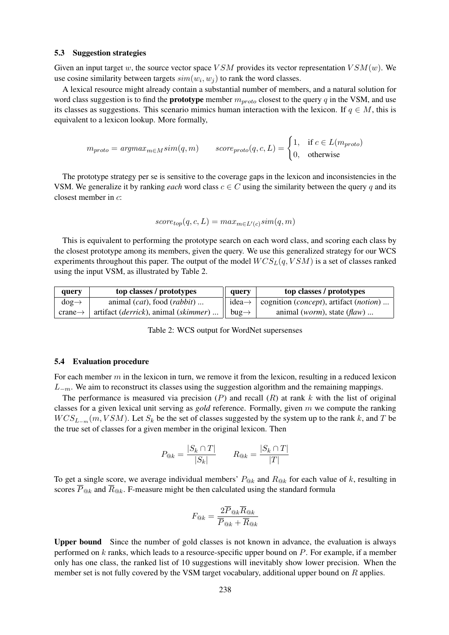#### 5.3 Suggestion strategies

Given an input target w, the source vector space VSM provides its vector representation  $VSM(w)$ . We use cosine similarity between targets  $sim(w_i, w_j)$  to rank the word classes.

A lexical resource might already contain a substantial number of members, and a natural solution for word class suggestion is to find the **prototype** member  $m_{proto}$  closest to the query q in the VSM, and use its classes as suggestions. This scenario mimics human interaction with the lexicon. If  $q \in M$ , this is equivalent to a lexicon lookup. More formally,

$$
m_{proto} = argmax_{m \in M} sim(q, m) \qquad score_{proto}(q, c, L) = \begin{cases} 1, & \text{if } c \in L(m_{proto}) \\ 0, & \text{otherwise} \end{cases}
$$

The prototype strategy per se is sensitive to the coverage gaps in the lexicon and inconsistencies in the VSM. We generalize it by ranking *each* word class  $c \in C$  using the similarity between the query q and its closest member in c:

$$
score_{top}(q, c, L) = max_{m \in L'(c)} sim(q, m)
$$

This is equivalent to performing the prototype search on each word class, and scoring each class by the closest prototype among its members, given the query. We use this generalized strategy for our WCS experiments throughout this paper. The output of the model  $WCS<sub>L</sub>(q, VSM)$  is a set of classes ranked using the input VSM, as illustrated by Table 2.

| query               | top classes / prototypes                               | query             | top classes / prototypes                                                      |
|---------------------|--------------------------------------------------------|-------------------|-------------------------------------------------------------------------------|
| $dog \rightarrow$   | animal $(cat)$ , food $(rabbit)$                       |                   | $idea \rightarrow$   cognition ( <i>concept</i> ), artifact ( <i>notion</i> ) |
| $crane \rightarrow$ | artifact ( <i>derrick</i> ), animal ( <i>skimmer</i> ) | bug $\rightarrow$ | animal ( <i>worm</i> ), state $(flaw)$                                        |

Table 2: WCS output for WordNet supersenses

#### 5.4 Evaluation procedure

For each member  $m$  in the lexicon in turn, we remove it from the lexicon, resulting in a reduced lexicon  $L_{-m}$ . We aim to reconstruct its classes using the suggestion algorithm and the remaining mappings.

The performance is measured via precision  $(P)$  and recall  $(R)$  at rank k with the list of original classes for a given lexical unit serving as *gold* reference. Formally, given m we compute the ranking  $WCS_{L_{-m}}(m, VSM)$ . Let  $S_k$  be the set of classes suggested by the system up to the rank k, and T be the true set of classes for a given member in the original lexicon. Then

$$
P_{@k} = \frac{|S_k \cap T|}{|S_k|} \qquad R_{@k} = \frac{|S_k \cap T|}{|T|}
$$

To get a single score, we average individual members'  $P_{@k}$  and  $R_{@k}$  for each value of k, resulting in scores  $\overline{P}_{@k}$  and  $\overline{R}_{@k}$ . F-measure might be then calculated using the standard formula

$$
F_{@k} = \frac{2 \overline{P}_{@k} \overline{R}_{@k}}{\overline{P}_{@k} + \overline{R}_{@k}}
$$

Upper bound Since the number of gold classes is not known in advance, the evaluation is always performed on  $k$  ranks, which leads to a resource-specific upper bound on  $P$ . For example, if a member only has one class, the ranked list of 10 suggestions will inevitably show lower precision. When the member set is not fully covered by the VSM target vocabulary, additional upper bound on R applies.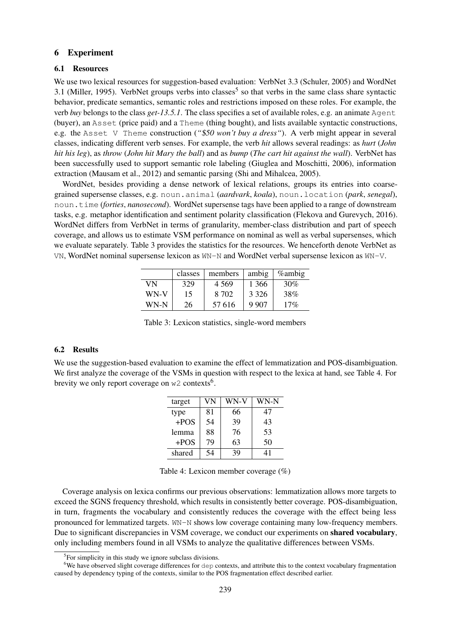#### 6 Experiment

#### 6.1 Resources

We use two lexical resources for suggestion-based evaluation: VerbNet 3.3 (Schuler, 2005) and WordNet 3.1 (Miller, 1995). VerbNet groups verbs into classes<sup>5</sup> so that verbs in the same class share syntactic behavior, predicate semantics, semantic roles and restrictions imposed on these roles. For example, the verb *buy* belongs to the class *get-13.5.1*. The class specifies a set of available roles, e.g. an animate Agent (buyer), an Asset (price paid) and a Theme (thing bought), and lists available syntactic constructions, e.g. the Asset V Theme construction ("\$50 won't buy a dress"). A verb might appear in several classes, indicating different verb senses. For example, the verb *hit* allows several readings: as *hurt* (*John hit his leg*), as *throw* (*John hit Mary the ball*) and as *bump* (*The cart hit against the wall*). VerbNet has been successfully used to support semantic role labeling (Giuglea and Moschitti, 2006), information extraction (Mausam et al., 2012) and semantic parsing (Shi and Mihalcea, 2005).

WordNet, besides providing a dense network of lexical relations, groups its entries into coarsegrained supersense classes, e.g. noun.animal (*aardvark*, *koala*), noun.location (*park*, *senegal*), noun.time (*forties*, *nanosecond*). WordNet supersense tags have been applied to a range of downstream tasks, e.g. metaphor identification and sentiment polarity classification (Flekova and Gurevych, 2016). WordNet differs from VerbNet in terms of granularity, member-class distribution and part of speech coverage, and allows us to estimate VSM performance on nominal as well as verbal supersenses, which we evaluate separately. Table 3 provides the statistics for the resources. We henceforth denote VerbNet as VN, WordNet nominal supersense lexicon as WN-N and WordNet verbal supersense lexicon as WN-V.

|      | classes | members | ambig   | <i>%</i> ambig |
|------|---------|---------|---------|----------------|
| VN   | 329     | 4 5 6 9 | 1 366   | 30%            |
| WN-V | 15      | 8.702   | 3 3 2 6 | 38%            |
| WN-N | 26      | 57 616  | 9 9 0 7 | 17%            |

Table 3: Lexicon statistics, single-word members

#### 6.2 Results

We use the suggestion-based evaluation to examine the effect of lemmatization and POS-disambiguation. We first analyze the coverage of the VSMs in question with respect to the lexica at hand, see Table 4. For brevity we only report coverage on  $w2$  contexts<sup>6</sup>.

| target | VN | WN-V | WN-N |
|--------|----|------|------|
| type   | 81 | 66   | 47   |
| $+POS$ | 54 | 39   | 43   |
| lemma  | 88 | 76   | 53   |
| $+POS$ | 79 | 63   | 50   |
| shared | 54 |      | 41   |

Table 4: Lexicon member coverage (%)

Coverage analysis on lexica confirms our previous observations: lemmatization allows more targets to exceed the SGNS frequency threshold, which results in consistently better coverage. POS-disambiguation, in turn, fragments the vocabulary and consistently reduces the coverage with the effect being less pronounced for lemmatized targets. WN-N shows low coverage containing many low-frequency members. Due to significant discrepancies in VSM coverage, we conduct our experiments on shared vocabulary, only including members found in all VSMs to analyze the qualitative differences between VSMs.

<sup>&</sup>lt;sup>5</sup>For simplicity in this study we ignore subclass divisions.

<sup>&</sup>lt;sup>6</sup>We have observed slight coverage differences for dep contexts, and attribute this to the context vocabulary fragmentation caused by dependency typing of the contexts, similar to the POS fragmentation effect described earlier.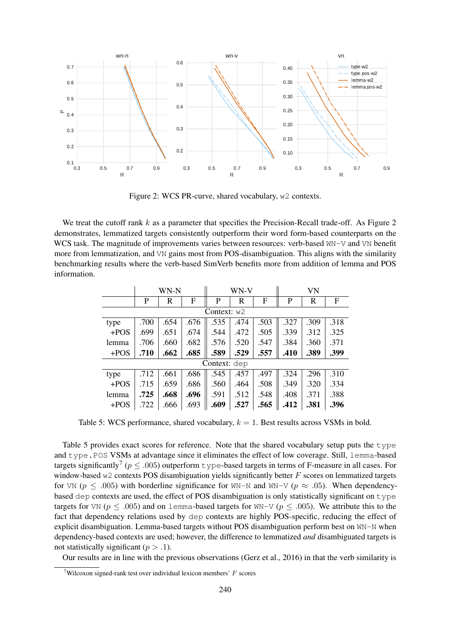

Figure 2: WCS PR-curve, shared vocabulary, w2 contexts.

We treat the cutoff rank  $k$  as a parameter that specifies the Precision-Recall trade-off. As Figure 2 demonstrates, lemmatized targets consistently outperform their word form-based counterparts on the WCS task. The magnitude of improvements varies between resources: verb-based WN-V and VN benefit more from lemmatization, and VN gains most from POS-disambiguation. This aligns with the similarity benchmarking results where the verb-based SimVerb benefits more from addition of lemma and POS information.

|               | WN-N         |      |      |      | WN-V |      |      | VN   |      |  |
|---------------|--------------|------|------|------|------|------|------|------|------|--|
|               | P            | R    | F    | P    | R    | F    | P    | R    | F    |  |
| Context: $w2$ |              |      |      |      |      |      |      |      |      |  |
| type          | .700         | .654 | .676 | .535 | .474 | .503 | .327 | .309 | .318 |  |
| $+POS$        | .699         | .651 | .674 | .544 | .472 | .505 | .339 | .312 | .325 |  |
| lemma         | .706         | .660 | .682 | .576 | .520 | .547 | .384 | .360 | .371 |  |
| $+POS$        | .710         | .662 | .685 | .589 | .529 | .557 | .410 | .389 | .399 |  |
|               | Context: dep |      |      |      |      |      |      |      |      |  |
| type          | .712         | .661 | .686 | .545 | .457 | .497 | .324 | .296 | .310 |  |
| $+POS$        | .715         | .659 | .686 | .560 | .464 | .508 | .349 | .320 | .334 |  |
| lemma         | .725         | .668 | .696 | .591 | .512 | .548 | .408 | .371 | .388 |  |
| $+POS$        | .722         | .666 | .693 | .609 | .527 | .565 | .412 | .381 | .396 |  |

Table 5: WCS performance, shared vocabulary,  $k = 1$ . Best results across VSMs in bold.

Table 5 provides exact scores for reference. Note that the shared vocabulary setup puts the type and type.POS VSMs at advantage since it eliminates the effect of low coverage. Still, lemma-based targets significantly<sup>7</sup> ( $p \leq .005$ ) outperform  $\tau$ ype-based targets in terms of F-measure in all cases. For window-based  $w2$  contexts POS disambiguation yields significantly better  $F$  scores on lemmatized targets for VN ( $p \le .005$ ) with borderline significance for WN-N and WN-V ( $p \approx .05$ ). When dependencybased dep contexts are used, the effect of POS disambiguation is only statistically significant on type targets for VN ( $p \leq .005$ ) and on lemma-based targets for WN-V ( $p \leq .005$ ). We attribute this to the fact that dependency relations used by dep contexts are highly POS-specific, reducing the effect of explicit disambiguation. Lemma-based targets without POS disambiguation perform best on WN-N when dependency-based contexts are used; however, the difference to lemmatized *and* disambiguated targets is not statistically significant ( $p > .1$ ).

Our results are in line with the previous observations (Gerz et al., 2016) in that the verb similarity is

<sup>&</sup>lt;sup>7</sup>Wilcoxon signed-rank test over individual lexicon members'  $F$  scores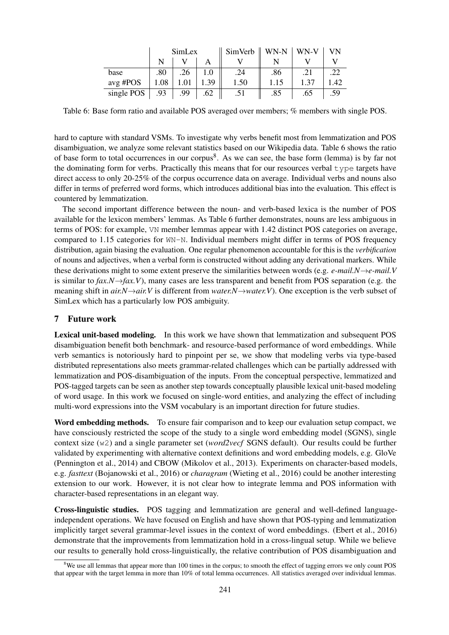|            | SimLex |      |         | $SimVerb \parallel$ WN-N |      | WN-V | <b>VN</b> |
|------------|--------|------|---------|--------------------------|------|------|-----------|
|            |        |      |         |                          |      |      |           |
| base       | .80    | .26  | $1.0\,$ | .24                      | .86  |      |           |
| avg #POS   | 1.08   | 1.01 | 1.39    | 1.50                     | 1.15 | 1.37 | l.42      |
| single POS | .93    | 99   | .62     |                          | .85  | .65  | .59       |

Table 6: Base form ratio and available POS averaged over members; % members with single POS.

hard to capture with standard VSMs. To investigate why verbs benefit most from lemmatization and POS disambiguation, we analyze some relevant statistics based on our Wikipedia data. Table 6 shows the ratio of base form to total occurrences in our corpus<sup>8</sup>. As we can see, the base form (lemma) is by far not the dominating form for verbs. Practically this means that for our resources verbal type targets have direct access to only 20-25% of the corpus occurrence data on average. Individual verbs and nouns also differ in terms of preferred word forms, which introduces additional bias into the evaluation. This effect is countered by lemmatization.

The second important difference between the noun- and verb-based lexica is the number of POS available for the lexicon members' lemmas. As Table 6 further demonstrates, nouns are less ambiguous in terms of POS: for example, VN member lemmas appear with 1.42 distinct POS categories on average, compared to 1.15 categories for WN-N. Individual members might differ in terms of POS frequency distribution, again biasing the evaluation. One regular phenomenon accountable for this is the *verbification* of nouns and adjectives, when a verbal form is constructed without adding any derivational markers. While these derivations might to some extent preserve the similarities between words (e.g. *e-mail.N*→*e-mail.V* is similar to  $fax.N \rightarrow fax.V$ ), many cases are less transparent and benefit from POS separation (e.g. the meaning shift in *air.N*→*air.V* is different from *water.N*→*water.V*). One exception is the verb subset of SimLex which has a particularly low POS ambiguity.

## 7 Future work

Lexical unit-based modeling. In this work we have shown that lemmatization and subsequent POS disambiguation benefit both benchmark- and resource-based performance of word embeddings. While verb semantics is notoriously hard to pinpoint per se, we show that modeling verbs via type-based distributed representations also meets grammar-related challenges which can be partially addressed with lemmatization and POS-disambiguation of the inputs. From the conceptual perspective, lemmatized and POS-tagged targets can be seen as another step towards conceptually plausible lexical unit-based modeling of word usage. In this work we focused on single-word entities, and analyzing the effect of including multi-word expressions into the VSM vocabulary is an important direction for future studies.

Word embedding methods. To ensure fair comparison and to keep our evaluation setup compact, we have consciously restricted the scope of the study to a single word embedding model (SGNS), single context size (w2) and a single parameter set (*word2vecf* SGNS default). Our results could be further validated by experimenting with alternative context definitions and word embedding models, e.g. GloVe (Pennington et al., 2014) and CBOW (Mikolov et al., 2013). Experiments on character-based models, e.g. *fasttext* (Bojanowski et al., 2016) or *charagram* (Wieting et al., 2016) could be another interesting extension to our work. However, it is not clear how to integrate lemma and POS information with character-based representations in an elegant way.

Cross-linguistic studies. POS tagging and lemmatization are general and well-defined languageindependent operations. We have focused on English and have shown that POS-typing and lemmatization implicitly target several grammar-level issues in the context of word embeddings. (Ebert et al., 2016) demonstrate that the improvements from lemmatization hold in a cross-lingual setup. While we believe our results to generally hold cross-linguistically, the relative contribution of POS disambiguation and

 $8$ We use all lemmas that appear more than 100 times in the corpus; to smooth the effect of tagging errors we only count POS that appear with the target lemma in more than 10% of total lemma occurrences. All statistics averaged over individual lemmas.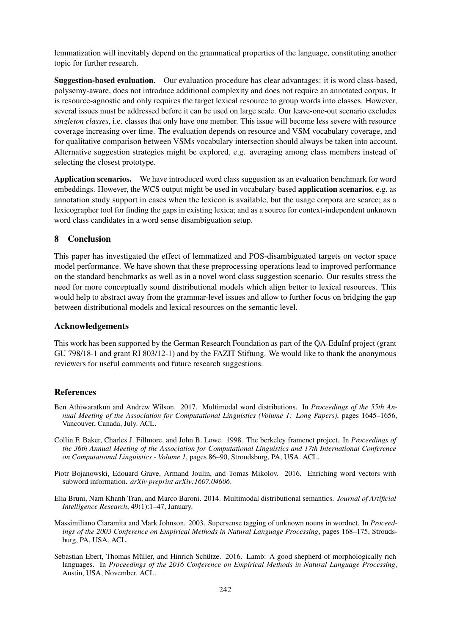lemmatization will inevitably depend on the grammatical properties of the language, constituting another topic for further research.

Suggestion-based evaluation. Our evaluation procedure has clear advantages: it is word class-based, polysemy-aware, does not introduce additional complexity and does not require an annotated corpus. It is resource-agnostic and only requires the target lexical resource to group words into classes. However, several issues must be addressed before it can be used on large scale. Our leave-one-out scenario excludes *singleton classes*, i.e. classes that only have one member. This issue will become less severe with resource coverage increasing over time. The evaluation depends on resource and VSM vocabulary coverage, and for qualitative comparison between VSMs vocabulary intersection should always be taken into account. Alternative suggestion strategies might be explored, e.g. averaging among class members instead of selecting the closest prototype.

Application scenarios. We have introduced word class suggestion as an evaluation benchmark for word embeddings. However, the WCS output might be used in vocabulary-based application scenarios, e.g. as annotation study support in cases when the lexicon is available, but the usage corpora are scarce; as a lexicographer tool for finding the gaps in existing lexica; and as a source for context-independent unknown word class candidates in a word sense disambiguation setup.

## 8 Conclusion

This paper has investigated the effect of lemmatized and POS-disambiguated targets on vector space model performance. We have shown that these preprocessing operations lead to improved performance on the standard benchmarks as well as in a novel word class suggestion scenario. Our results stress the need for more conceptually sound distributional models which align better to lexical resources. This would help to abstract away from the grammar-level issues and allow to further focus on bridging the gap between distributional models and lexical resources on the semantic level.

## Acknowledgements

This work has been supported by the German Research Foundation as part of the QA-EduInf project (grant GU 798/18-1 and grant RI 803/12-1) and by the FAZIT Stiftung. We would like to thank the anonymous reviewers for useful comments and future research suggestions.

## References

- Ben Athiwaratkun and Andrew Wilson. 2017. Multimodal word distributions. In *Proceedings of the 55th Annual Meeting of the Association for Computational Linguistics (Volume 1: Long Papers)*, pages 1645–1656, Vancouver, Canada, July. ACL.
- Collin F. Baker, Charles J. Fillmore, and John B. Lowe. 1998. The berkeley framenet project. In *Proceedings of the 36th Annual Meeting of the Association for Computational Linguistics and 17th International Conference on Computational Linguistics - Volume 1*, pages 86–90, Stroudsburg, PA, USA. ACL.
- Piotr Bojanowski, Edouard Grave, Armand Joulin, and Tomas Mikolov. 2016. Enriching word vectors with subword information. *arXiv preprint arXiv:1607.04606*.
- Elia Bruni, Nam Khanh Tran, and Marco Baroni. 2014. Multimodal distributional semantics. *Journal of Artificial Intelligence Research*, 49(1):1–47, January.
- Massimiliano Ciaramita and Mark Johnson. 2003. Supersense tagging of unknown nouns in wordnet. In *Proceedings of the 2003 Conference on Empirical Methods in Natural Language Processing*, pages 168–175, Stroudsburg, PA, USA. ACL.
- Sebastian Ebert, Thomas Müller, and Hinrich Schütze. 2016. Lamb: A good shepherd of morphologically rich languages. In *Proceedings of the 2016 Conference on Empirical Methods in Natural Language Processing*, Austin, USA, November. ACL.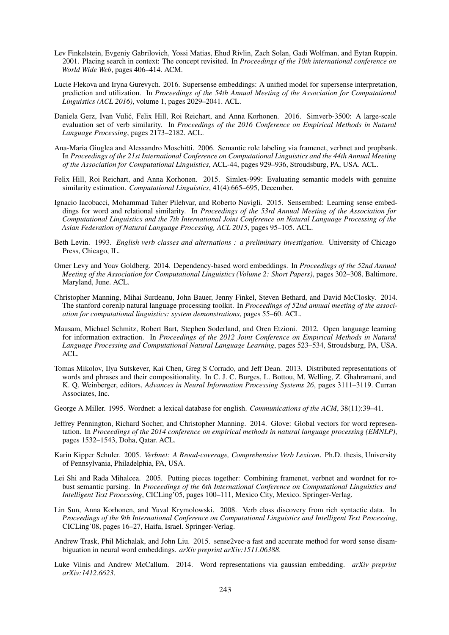- Lev Finkelstein, Evgeniy Gabrilovich, Yossi Matias, Ehud Rivlin, Zach Solan, Gadi Wolfman, and Eytan Ruppin. 2001. Placing search in context: The concept revisited. In *Proceedings of the 10th international conference on World Wide Web*, pages 406–414. ACM.
- Lucie Flekova and Iryna Gurevych. 2016. Supersense embeddings: A unified model for supersense interpretation, prediction and utilization. In *Proceedings of the 54th Annual Meeting of the Association for Computational Linguistics (ACL 2016)*, volume 1, pages 2029–2041. ACL.
- Daniela Gerz, Ivan Vulic, Felix Hill, Roi Reichart, and Anna Korhonen. 2016. Simverb-3500: A large-scale ´ evaluation set of verb similarity. In *Proceedings of the 2016 Conference on Empirical Methods in Natural Language Processing*, pages 2173–2182. ACL.
- Ana-Maria Giuglea and Alessandro Moschitti. 2006. Semantic role labeling via framenet, verbnet and propbank. In *Proceedings of the 21st International Conference on Computational Linguistics and the 44th Annual Meeting of the Association for Computational Linguistics*, ACL-44, pages 929–936, Stroudsburg, PA, USA. ACL.
- Felix Hill, Roi Reichart, and Anna Korhonen. 2015. Simlex-999: Evaluating semantic models with genuine similarity estimation. *Computational Linguistics*, 41(4):665–695, December.
- Ignacio Iacobacci, Mohammad Taher Pilehvar, and Roberto Navigli. 2015. Sensembed: Learning sense embeddings for word and relational similarity. In *Proceedings of the 53rd Annual Meeting of the Association for Computational Linguistics and the 7th International Joint Conference on Natural Language Processing of the Asian Federation of Natural Language Processing, ACL 2015*, pages 95–105. ACL.
- Beth Levin. 1993. *English verb classes and alternations : a preliminary investigation*. University of Chicago Press, Chicago, IL.
- Omer Levy and Yoav Goldberg. 2014. Dependency-based word embeddings. In *Proceedings of the 52nd Annual Meeting of the Association for Computational Linguistics (Volume 2: Short Papers)*, pages 302–308, Baltimore, Maryland, June. ACL.
- Christopher Manning, Mihai Surdeanu, John Bauer, Jenny Finkel, Steven Bethard, and David McClosky. 2014. The stanford corenlp natural language processing toolkit. In *Proceedings of 52nd annual meeting of the association for computational linguistics: system demonstrations*, pages 55–60. ACL.
- Mausam, Michael Schmitz, Robert Bart, Stephen Soderland, and Oren Etzioni. 2012. Open language learning for information extraction. In *Proceedings of the 2012 Joint Conference on Empirical Methods in Natural Language Processing and Computational Natural Language Learning*, pages 523–534, Stroudsburg, PA, USA. ACL.
- Tomas Mikolov, Ilya Sutskever, Kai Chen, Greg S Corrado, and Jeff Dean. 2013. Distributed representations of words and phrases and their compositionality. In C. J. C. Burges, L. Bottou, M. Welling, Z. Ghahramani, and K. Q. Weinberger, editors, *Advances in Neural Information Processing Systems 26*, pages 3111–3119. Curran Associates, Inc.
- George A Miller. 1995. Wordnet: a lexical database for english. *Communications of the ACM*, 38(11):39–41.
- Jeffrey Pennington, Richard Socher, and Christopher Manning. 2014. Glove: Global vectors for word representation. In *Proceedings of the 2014 conference on empirical methods in natural language processing (EMNLP)*, pages 1532–1543, Doha, Qatar. ACL.
- Karin Kipper Schuler. 2005. *Verbnet: A Broad-coverage, Comprehensive Verb Lexicon*. Ph.D. thesis, University of Pennsylvania, Philadelphia, PA, USA.
- Lei Shi and Rada Mihalcea. 2005. Putting pieces together: Combining framenet, verbnet and wordnet for robust semantic parsing. In *Proceedings of the 6th International Conference on Computational Linguistics and Intelligent Text Processing*, CICLing'05, pages 100–111, Mexico City, Mexico. Springer-Verlag.
- Lin Sun, Anna Korhonen, and Yuval Krymolowski. 2008. Verb class discovery from rich syntactic data. In *Proceedings of the 9th International Conference on Computational Linguistics and Intelligent Text Processing*, CICLing'08, pages 16–27, Haifa, Israel. Springer-Verlag.
- Andrew Trask, Phil Michalak, and John Liu. 2015. sense2vec-a fast and accurate method for word sense disambiguation in neural word embeddings. *arXiv preprint arXiv:1511.06388*.
- Luke Vilnis and Andrew McCallum. 2014. Word representations via gaussian embedding. *arXiv preprint arXiv:1412.6623*.